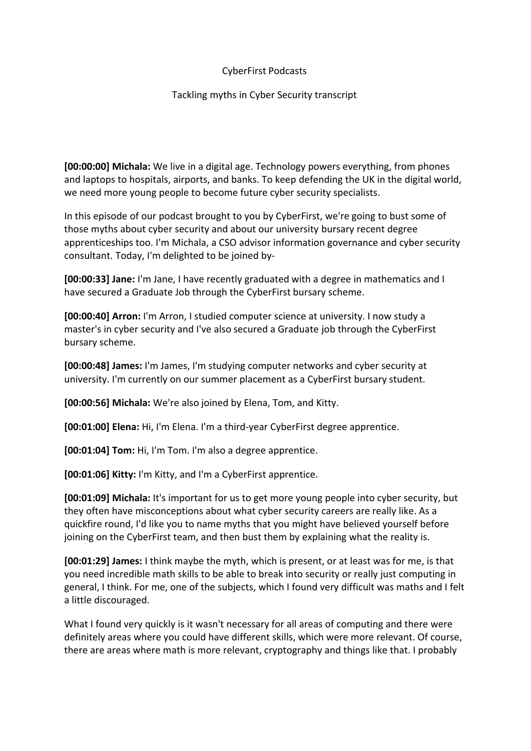## CyberFirst Podcasts

## Tackling myths in Cyber Security transcript

**[00:00:00] Michala:** We live in a digital age. Technology powers everything, from phones and laptops to hospitals, airports, and banks. To keep defending the UK in the digital world, we need more young people to become future cyber security specialists.

In this episode of our podcast brought to you by CyberFirst, we're going to bust some of those myths about cyber security and about our university bursary recent degree apprenticeships too. I'm Michala, a CSO advisor information governance and cyber security consultant. Today, I'm delighted to be joined by-

**[00:00:33] Jane:** I'm Jane, I have recently graduated with a degree in mathematics and I have secured a Graduate Job through the CyberFirst bursary scheme.

**[00:00:40] Arron:** I'm Arron, I studied computer science at university. I now study a master's in cyber security and I've also secured a Graduate job through the CyberFirst bursary scheme.

**[00:00:48] James:** I'm James, I'm studying computer networks and cyber security at university. I'm currently on our summer placement as a CyberFirst bursary student.

**[00:00:56] Michala:** We're also joined by Elena, Tom, and Kitty.

**[00:01:00] Elena:** Hi, I'm Elena. I'm a third-year CyberFirst degree apprentice.

**[00:01:04] Tom:** Hi, I'm Tom. I'm also a degree apprentice.

**[00:01:06] Kitty:** I'm Kitty, and I'm a CyberFirst apprentice.

**[00:01:09] Michala:** It's important for us to get more young people into cyber security, but they often have misconceptions about what cyber security careers are really like. As a quickfire round, I'd like you to name myths that you might have believed yourself before joining on the CyberFirst team, and then bust them by explaining what the reality is.

**[00:01:29] James:** I think maybe the myth, which is present, or at least was for me, is that you need incredible math skills to be able to break into security or really just computing in general, I think. For me, one of the subjects, which I found very difficult was maths and I felt a little discouraged.

What I found very quickly is it wasn't necessary for all areas of computing and there were definitely areas where you could have different skills, which were more relevant. Of course, there are areas where math is more relevant, cryptography and things like that. I probably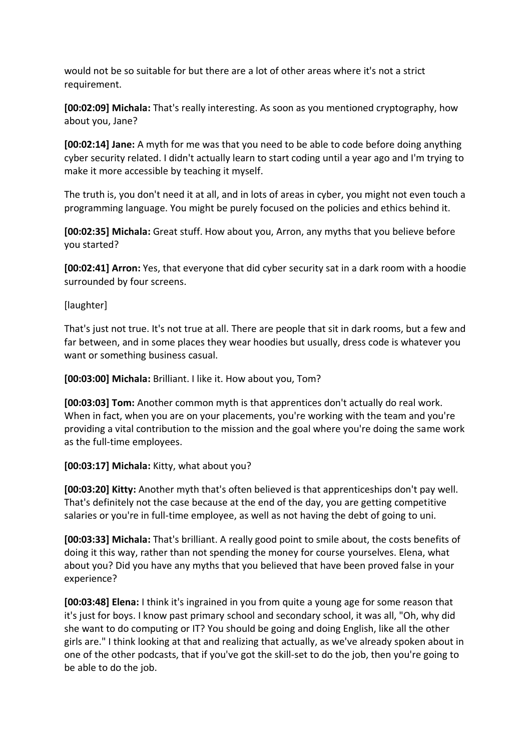would not be so suitable for but there are a lot of other areas where it's not a strict requirement.

**[00:02:09] Michala:** That's really interesting. As soon as you mentioned cryptography, how about you, Jane?

**[00:02:14] Jane:** A myth for me was that you need to be able to code before doing anything cyber security related. I didn't actually learn to start coding until a year ago and I'm trying to make it more accessible by teaching it myself.

The truth is, you don't need it at all, and in lots of areas in cyber, you might not even touch a programming language. You might be purely focused on the policies and ethics behind it.

**[00:02:35] Michala:** Great stuff. How about you, Arron, any myths that you believe before you started?

**[00:02:41] Arron:** Yes, that everyone that did cyber security sat in a dark room with a hoodie surrounded by four screens.

# [laughter]

That's just not true. It's not true at all. There are people that sit in dark rooms, but a few and far between, and in some places they wear hoodies but usually, dress code is whatever you want or something business casual.

**[00:03:00] Michala:** Brilliant. I like it. How about you, Tom?

**[00:03:03] Tom:** Another common myth is that apprentices don't actually do real work. When in fact, when you are on your placements, you're working with the team and you're providing a vital contribution to the mission and the goal where you're doing the same work as the full-time employees.

# **[00:03:17] Michala:** Kitty, what about you?

**[00:03:20] Kitty:** Another myth that's often believed is that apprenticeships don't pay well. That's definitely not the case because at the end of the day, you are getting competitive salaries or you're in full-time employee, as well as not having the debt of going to uni.

**[00:03:33] Michala:** That's brilliant. A really good point to smile about, the costs benefits of doing it this way, rather than not spending the money for course yourselves. Elena, what about you? Did you have any myths that you believed that have been proved false in your experience?

**[00:03:48] Elena:** I think it's ingrained in you from quite a young age for some reason that it's just for boys. I know past primary school and secondary school, it was all, "Oh, why did she want to do computing or IT? You should be going and doing English, like all the other girls are." I think looking at that and realizing that actually, as we've already spoken about in one of the other podcasts, that if you've got the skill-set to do the job, then you're going to be able to do the job.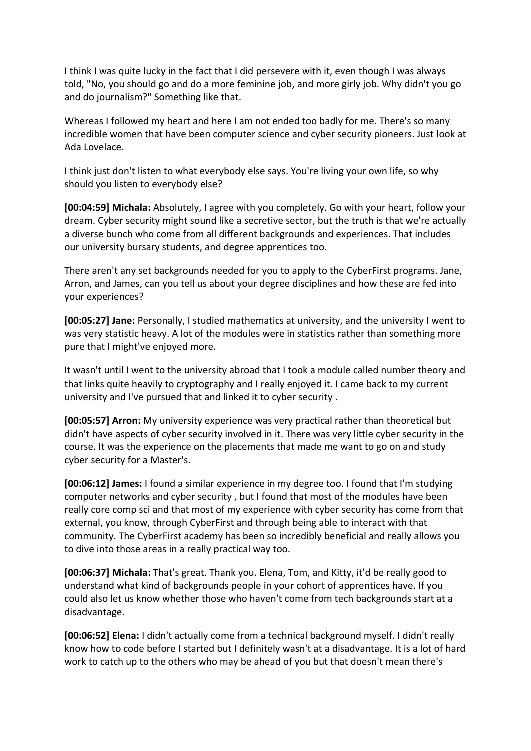I think I was quite lucky in the fact that I did persevere with it, even though I was always told, "No, you should go and do a more feminine job, and more girly job. Why didn't you go and do journalism?" Something like that.

Whereas I followed my heart and here I am not ended too badly for me. There's so many incredible women that have been computer science and cyber security pioneers. Just look at Ada Lovelace.

I think just don't listen to what everybody else says. You're living your own life, so why should you listen to everybody else?

**[00:04:59] Michala:** Absolutely, I agree with you completely. Go with your heart, follow your dream. Cyber security might sound like a secretive sector, but the truth is that we're actually a diverse bunch who come from all different backgrounds and experiences. That includes our university bursary students, and degree apprentices too.

There aren't any set backgrounds needed for you to apply to the CyberFirst programs. Jane, Arron, and James, can you tell us about your degree disciplines and how these are fed into your experiences?

**[00:05:27] Jane:** Personally, I studied mathematics at university, and the university I went to was very statistic heavy. A lot of the modules were in statistics rather than something more pure that I might've enjoyed more.

It wasn't until I went to the university abroad that I took a module called number theory and that links quite heavily to cryptography and I really enjoyed it. I came back to my current university and I've pursued that and linked it to cyber security .

**[00:05:57] Arron:** My university experience was very practical rather than theoretical but didn't have aspects of cyber security involved in it. There was very little cyber security in the course. It was the experience on the placements that made me want to go on and study cyber security for a Master's.

**[00:06:12] James:** I found a similar experience in my degree too. I found that I'm studying computer networks and cyber security , but I found that most of the modules have been really core comp sci and that most of my experience with cyber security has come from that external, you know, through CyberFirst and through being able to interact with that community. The CyberFirst academy has been so incredibly beneficial and really allows you to dive into those areas in a really practical way too.

**[00:06:37] Michala:** That's great. Thank you. Elena, Tom, and Kitty, it'd be really good to understand what kind of backgrounds people in your cohort of apprentices have. If you could also let us know whether those who haven't come from tech backgrounds start at a disadvantage.

**[00:06:52] Elena:** I didn't actually come from a technical background myself. I didn't really know how to code before I started but I definitely wasn't at a disadvantage. It is a lot of hard work to catch up to the others who may be ahead of you but that doesn't mean there's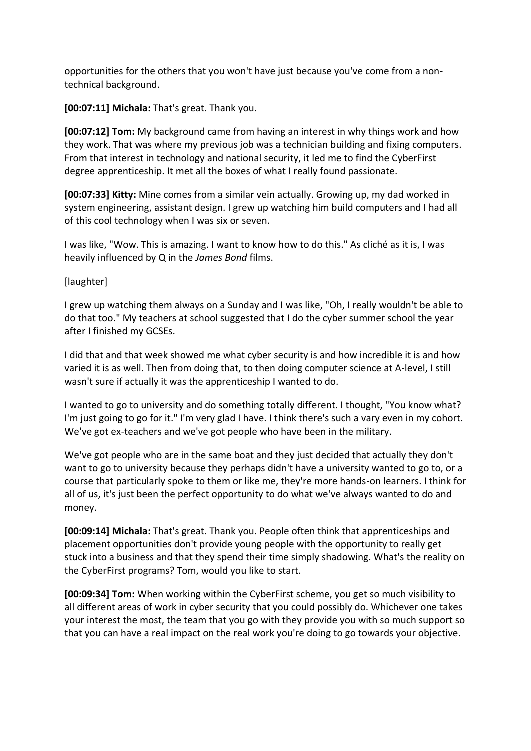opportunities for the others that you won't have just because you've come from a nontechnical background.

**[00:07:11] Michala:** That's great. Thank you.

**[00:07:12] Tom:** My background came from having an interest in why things work and how they work. That was where my previous job was a technician building and fixing computers. From that interest in technology and national security, it led me to find the CyberFirst degree apprenticeship. It met all the boxes of what I really found passionate.

**[00:07:33] Kitty:** Mine comes from a similar vein actually. Growing up, my dad worked in system engineering, assistant design. I grew up watching him build computers and I had all of this cool technology when I was six or seven.

I was like, "Wow. This is amazing. I want to know how to do this." As cliché as it is, I was heavily influenced by Q in the *James Bond* films.

[laughter]

I grew up watching them always on a Sunday and I was like, "Oh, I really wouldn't be able to do that too." My teachers at school suggested that I do the cyber summer school the year after I finished my GCSEs.

I did that and that week showed me what cyber security is and how incredible it is and how varied it is as well. Then from doing that, to then doing computer science at A-level, I still wasn't sure if actually it was the apprenticeship I wanted to do.

I wanted to go to university and do something totally different. I thought, "You know what? I'm just going to go for it." I'm very glad I have. I think there's such a vary even in my cohort. We've got ex-teachers and we've got people who have been in the military.

We've got people who are in the same boat and they just decided that actually they don't want to go to university because they perhaps didn't have a university wanted to go to, or a course that particularly spoke to them or like me, they're more hands-on learners. I think for all of us, it's just been the perfect opportunity to do what we've always wanted to do and money.

**[00:09:14] Michala:** That's great. Thank you. People often think that apprenticeships and placement opportunities don't provide young people with the opportunity to really get stuck into a business and that they spend their time simply shadowing. What's the reality on the CyberFirst programs? Tom, would you like to start.

**[00:09:34] Tom:** When working within the CyberFirst scheme, you get so much visibility to all different areas of work in cyber security that you could possibly do. Whichever one takes your interest the most, the team that you go with they provide you with so much support so that you can have a real impact on the real work you're doing to go towards your objective.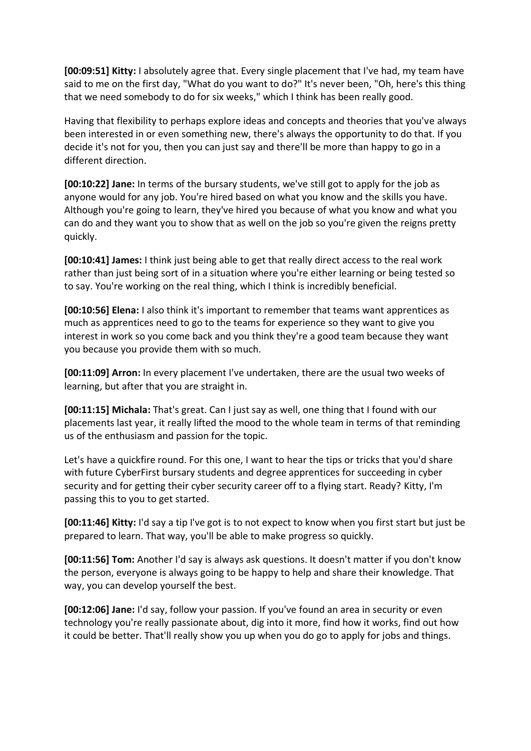**[00:09:51] Kitty:** I absolutely agree that. Every single placement that I've had, my team have said to me on the first day, "What do you want to do?" It's never been, "Oh, here's this thing that we need somebody to do for six weeks," which I think has been really good.

Having that flexibility to perhaps explore ideas and concepts and theories that you've always been interested in or even something new, there's always the opportunity to do that. If you decide it's not for you, then you can just say and there'll be more than happy to go in a different direction.

**[00:10:22] Jane:** In terms of the bursary students, we've still got to apply for the job as anyone would for any job. You're hired based on what you know and the skills you have. Although you're going to learn, they've hired you because of what you know and what you can do and they want you to show that as well on the job so you're given the reigns pretty quickly.

**[00:10:41] James:** I think just being able to get that really direct access to the real work rather than just being sort of in a situation where you're either learning or being tested so to say. You're working on the real thing, which I think is incredibly beneficial.

**[00:10:56] Elena:** I also think it's important to remember that teams want apprentices as much as apprentices need to go to the teams for experience so they want to give you interest in work so you come back and you think they're a good team because they want you because you provide them with so much.

**[00:11:09] Arron:** In every placement I've undertaken, there are the usual two weeks of learning, but after that you are straight in.

**[00:11:15] Michala:** That's great. Can I just say as well, one thing that I found with our placements last year, it really lifted the mood to the whole team in terms of that reminding us of the enthusiasm and passion for the topic.

Let's have a quickfire round. For this one, I want to hear the tips or tricks that you'd share with future CyberFirst bursary students and degree apprentices for succeeding in cyber security and for getting their cyber security career off to a flying start. Ready? Kitty, I'm passing this to you to get started.

**[00:11:46] Kitty:** I'd say a tip I've got is to not expect to know when you first start but just be prepared to learn. That way, you'll be able to make progress so quickly.

**[00:11:56] Tom:** Another I'd say is always ask questions. It doesn't matter if you don't know the person, everyone is always going to be happy to help and share their knowledge. That way, you can develop yourself the best.

**[00:12:06] Jane:** I'd say, follow your passion. If you've found an area in security or even technology you're really passionate about, dig into it more, find how it works, find out how it could be better. That'll really show you up when you do go to apply for jobs and things.